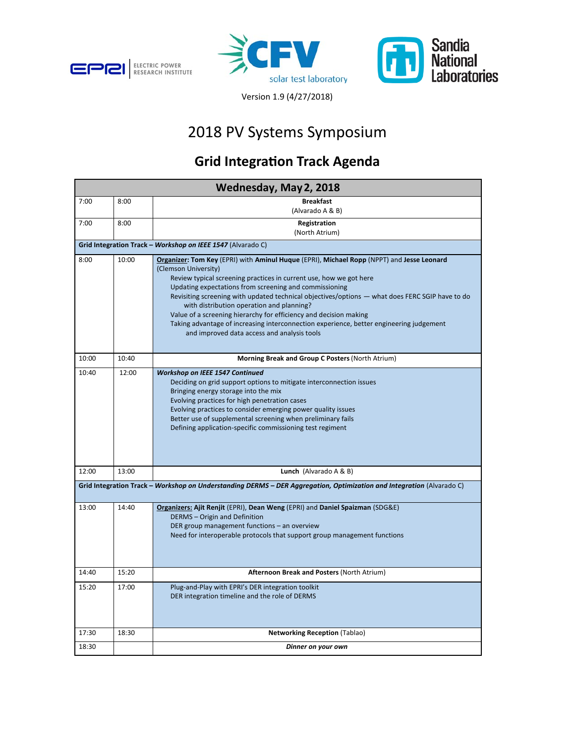





Version 1.9 (4/27/2018)

## 2018 PV Systems Symposium

## **Grid Integra�on Track Agenda**

| Wednesday, May 2, 2018                                                                                                |       |                                                                                                                                                                                                                                                                                                                                                                                                                                                                                                                                                                                                                  |  |  |
|-----------------------------------------------------------------------------------------------------------------------|-------|------------------------------------------------------------------------------------------------------------------------------------------------------------------------------------------------------------------------------------------------------------------------------------------------------------------------------------------------------------------------------------------------------------------------------------------------------------------------------------------------------------------------------------------------------------------------------------------------------------------|--|--|
| 7:00                                                                                                                  | 8:00  | <b>Breakfast</b><br>(Alvarado A & B)                                                                                                                                                                                                                                                                                                                                                                                                                                                                                                                                                                             |  |  |
| 7:00                                                                                                                  | 8:00  | Registration<br>(North Atrium)                                                                                                                                                                                                                                                                                                                                                                                                                                                                                                                                                                                   |  |  |
| Grid Integration Track - Workshop on IEEE 1547 (Alvarado C)                                                           |       |                                                                                                                                                                                                                                                                                                                                                                                                                                                                                                                                                                                                                  |  |  |
| 8:00                                                                                                                  | 10:00 | Organizer: Tom Key (EPRI) with Aminul Huque (EPRI), Michael Ropp (NPPT) and Jesse Leonard<br>(Clemson University)<br>Review typical screening practices in current use, how we got here<br>Updating expectations from screening and commissioning<br>Revisiting screening with updated technical objectives/options — what does FERC SGIP have to do<br>with distribution operation and planning?<br>Value of a screening hierarchy for efficiency and decision making<br>Taking advantage of increasing interconnection experience, better engineering judgement<br>and improved data access and analysis tools |  |  |
| 10:00                                                                                                                 | 10:40 | Morning Break and Group C Posters (North Atrium)                                                                                                                                                                                                                                                                                                                                                                                                                                                                                                                                                                 |  |  |
| 10:40                                                                                                                 | 12:00 | <b>Workshop on IEEE 1547 Continued</b><br>Deciding on grid support options to mitigate interconnection issues<br>Bringing energy storage into the mix<br>Evolving practices for high penetration cases<br>Evolving practices to consider emerging power quality issues<br>Better use of supplemental screening when preliminary fails<br>Defining application-specific commissioning test regiment                                                                                                                                                                                                               |  |  |
| 12:00                                                                                                                 | 13:00 | Lunch (Alvarado A & B)                                                                                                                                                                                                                                                                                                                                                                                                                                                                                                                                                                                           |  |  |
| Grid Integration Track - Workshop on Understanding DERMS - DER Aggregation, Optimization and Integration (Alvarado C) |       |                                                                                                                                                                                                                                                                                                                                                                                                                                                                                                                                                                                                                  |  |  |
| 13:00                                                                                                                 | 14:40 | Organizers: Ajit Renjit (EPRI), Dean Weng (EPRI) and Daniel Spaizman (SDG&E)<br><b>DERMS</b> - Origin and Definition<br>DER group management functions - an overview<br>Need for interoperable protocols that support group management functions                                                                                                                                                                                                                                                                                                                                                                 |  |  |
| 14:40                                                                                                                 | 15:20 | Afternoon Break and Posters (North Atrium)                                                                                                                                                                                                                                                                                                                                                                                                                                                                                                                                                                       |  |  |
| 15:20                                                                                                                 | 17:00 | Plug-and-Play with EPRI's DER integration toolkit<br>DER integration timeline and the role of DERMS                                                                                                                                                                                                                                                                                                                                                                                                                                                                                                              |  |  |
| 17:30                                                                                                                 | 18:30 | <b>Networking Reception (Tablao)</b>                                                                                                                                                                                                                                                                                                                                                                                                                                                                                                                                                                             |  |  |
| 18:30                                                                                                                 |       | Dinner on your own                                                                                                                                                                                                                                                                                                                                                                                                                                                                                                                                                                                               |  |  |